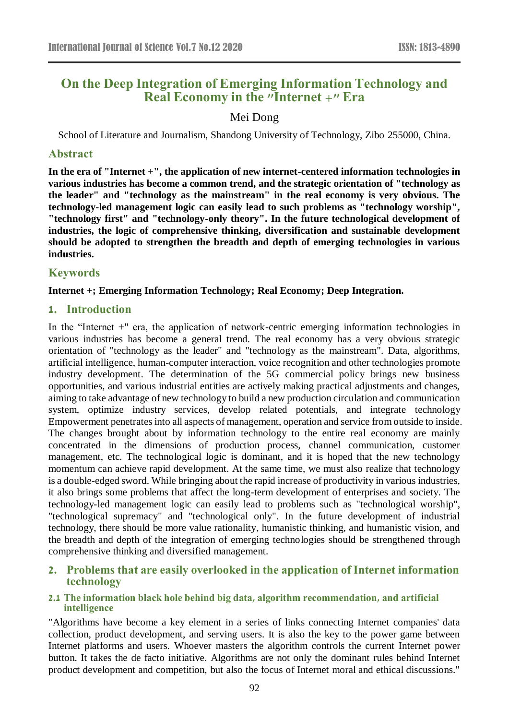# **On the Deep Integration of Emerging Information Technology and Real Economy in the "Internet +" Era**

# Mei Dong

School of Literature and Journalism, Shandong University of Technology, Zibo 255000, China.

#### **Abstract**

**In the era of "Internet +", the application of new internet-centered information technologies in various industries has become a common trend, and the strategic orientation of "technology as the leader" and "technology as the mainstream" in the real economy is very obvious. The technology-led management logic can easily lead to such problems as "technology worship", "technology first" and "technology-only theory". In the future technological development of industries, the logic of comprehensive thinking, diversification and sustainable development should be adopted to strengthen the breadth and depth of emerging technologies in various industries.**

### **Keywords**

#### **Internet +; Emerging Information Technology; Real Economy; Deep Integration.**

#### **1. Introduction**

In the "Internet +" era, the application of network-centric emerging information technologies in various industries has become a general trend. The real economy has a very obvious strategic orientation of "technology as the leader" and "technology as the mainstream". Data, algorithms, artificial intelligence, human-computer interaction, voice recognition and other technologies promote industry development. The determination of the 5G commercial policy brings new business opportunities, and various industrial entities are actively making practical adjustments and changes, aiming to take advantage of new technology to build a new production circulation and communication system, optimize industry services, develop related potentials, and integrate technology Empowerment penetrates into all aspects of management, operation and service from outside to inside. The changes brought about by information technology to the entire real economy are mainly concentrated in the dimensions of production process, channel communication, customer management, etc. The technological logic is dominant, and it is hoped that the new technology momentum can achieve rapid development. At the same time, we must also realize that technology is a double-edged sword. While bringing about the rapid increase of productivity in various industries, it also brings some problems that affect the long-term development of enterprises and society. The technology-led management logic can easily lead to problems such as "technological worship", "technological supremacy" and "technological only". In the future development of industrial technology, there should be more value rationality, humanistic thinking, and humanistic vision, and the breadth and depth of the integration of emerging technologies should be strengthened through comprehensive thinking and diversified management.

# **2. Problems that are easily overlooked in the application of Internet information technology**

#### **2.1 The information black hole behind big data, algorithm recommendation, and artificial intelligence**

"Algorithms have become a key element in a series of links connecting Internet companies' data collection, product development, and serving users. It is also the key to the power game between Internet platforms and users. Whoever masters the algorithm controls the current Internet power button. It takes the de facto initiative. Algorithms are not only the dominant rules behind Internet product development and competition, but also the focus of Internet moral and ethical discussions."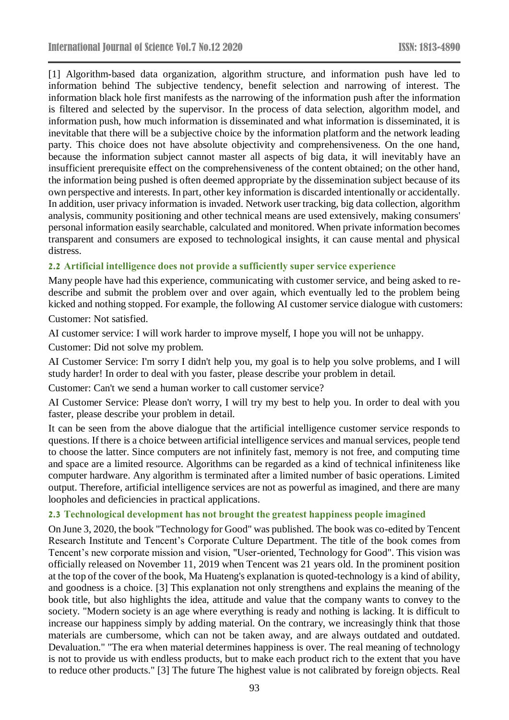[1] Algorithm-based data organization, algorithm structure, and information push have led to information behind The subjective tendency, benefit selection and narrowing of interest. The information black hole first manifests as the narrowing of the information push after the information is filtered and selected by the supervisor. In the process of data selection, algorithm model, and information push, how much information is disseminated and what information is disseminated, it is inevitable that there will be a subjective choice by the information platform and the network leading party. This choice does not have absolute objectivity and comprehensiveness. On the one hand, because the information subject cannot master all aspects of big data, it will inevitably have an insufficient prerequisite effect on the comprehensiveness of the content obtained; on the other hand, the information being pushed is often deemed appropriate by the dissemination subject because of its own perspective and interests. In part, other key information is discarded intentionally or accidentally. In addition, user privacy information is invaded. Network user tracking, big data collection, algorithm analysis, community positioning and other technical means are used extensively, making consumers' personal information easily searchable, calculated and monitored. When private information becomes transparent and consumers are exposed to technological insights, it can cause mental and physical distress.

#### **2.2 Artificial intelligence does not provide a sufficiently super service experience**

Many people have had this experience, communicating with customer service, and being asked to redescribe and submit the problem over and over again, which eventually led to the problem being kicked and nothing stopped. For example, the following AI customer service dialogue with customers: Customer: Not satisfied.

AI customer service: I will work harder to improve myself, I hope you will not be unhappy.

Customer: Did not solve my problem.

AI Customer Service: I'm sorry I didn't help you, my goal is to help you solve problems, and I will study harder! In order to deal with you faster, please describe your problem in detail.

Customer: Can't we send a human worker to call customer service?

AI Customer Service: Please don't worry, I will try my best to help you. In order to deal with you faster, please describe your problem in detail.

It can be seen from the above dialogue that the artificial intelligence customer service responds to questions. If there is a choice between artificial intelligence services and manual services, people tend to choose the latter. Since computers are not infinitely fast, memory is not free, and computing time and space are a limited resource. Algorithms can be regarded as a kind of technical infiniteness like computer hardware. Any algorithm is terminated after a limited number of basic operations. Limited output. Therefore, artificial intelligence services are not as powerful as imagined, and there are many loopholes and deficiencies in practical applications.

#### **2.3 Technological development has not brought the greatest happiness people imagined**

On June 3, 2020, the book "Technology for Good" was published. The book was co-edited by Tencent Research Institute and Tencent's Corporate Culture Department. The title of the book comes from Tencent's new corporate mission and vision, "User-oriented, Technology for Good". This vision was officially released on November 11, 2019 when Tencent was 21 years old. In the prominent position at the top of the cover of the book, Ma Huateng's explanation is quoted-technology is a kind of ability, and goodness is a choice. [3] This explanation not only strengthens and explains the meaning of the book title, but also highlights the idea, attitude and value that the company wants to convey to the society. "Modern society is an age where everything is ready and nothing is lacking. It is difficult to increase our happiness simply by adding material. On the contrary, we increasingly think that those materials are cumbersome, which can not be taken away, and are always outdated and outdated. Devaluation." "The era when material determines happiness is over. The real meaning of technology is not to provide us with endless products, but to make each product rich to the extent that you have to reduce other products." [3] The future The highest value is not calibrated by foreign objects. Real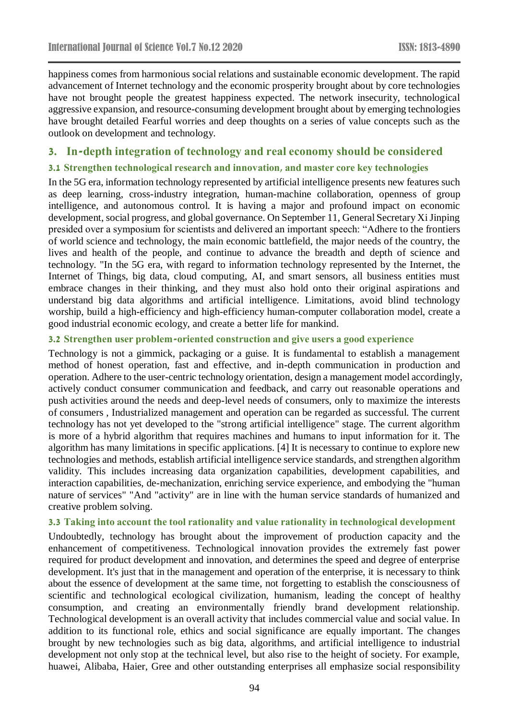happiness comes from harmonious social relations and sustainable economic development. The rapid advancement of Internet technology and the economic prosperity brought about by core technologies have not brought people the greatest happiness expected. The network insecurity, technological aggressive expansion, and resource-consuming development brought about by emerging technologies have brought detailed Fearful worries and deep thoughts on a series of value concepts such as the outlook on development and technology.

# **3. In-depth integration of technology and real economy should be considered**

### **3.1 Strengthen technological research and innovation, and master core key technologies**

In the 5G era, information technology represented by artificial intelligence presents new features such as deep learning, cross-industry integration, human-machine collaboration, openness of group intelligence, and autonomous control. It is having a major and profound impact on economic development, social progress, and global governance. On September 11, General Secretary Xi Jinping presided over a symposium for scientists and delivered an important speech: "Adhere to the frontiers of world science and technology, the main economic battlefield, the major needs of the country, the lives and health of the people, and continue to advance the breadth and depth of science and technology. "In the 5G era, with regard to information technology represented by the Internet, the Internet of Things, big data, cloud computing, AI, and smart sensors, all business entities must embrace changes in their thinking, and they must also hold onto their original aspirations and understand big data algorithms and artificial intelligence. Limitations, avoid blind technology worship, build a high-efficiency and high-efficiency human-computer collaboration model, create a good industrial economic ecology, and create a better life for mankind.

### **3.2 Strengthen user problem-oriented construction and give users a good experience**

Technology is not a gimmick, packaging or a guise. It is fundamental to establish a management method of honest operation, fast and effective, and in-depth communication in production and operation. Adhere to the user-centric technology orientation, design a management model accordingly, actively conduct consumer communication and feedback, and carry out reasonable operations and push activities around the needs and deep-level needs of consumers, only to maximize the interests of consumers , Industrialized management and operation can be regarded as successful. The current technology has not yet developed to the "strong artificial intelligence" stage. The current algorithm is more of a hybrid algorithm that requires machines and humans to input information for it. The algorithm has many limitations in specific applications. [4] It is necessary to continue to explore new technologies and methods, establish artificial intelligence service standards, and strengthen algorithm validity. This includes increasing data organization capabilities, development capabilities, and interaction capabilities, de-mechanization, enriching service experience, and embodying the "human nature of services" "And "activity" are in line with the human service standards of humanized and creative problem solving.

### **3.3 Taking into account the tool rationality and value rationality in technological development**

Undoubtedly, technology has brought about the improvement of production capacity and the enhancement of competitiveness. Technological innovation provides the extremely fast power required for product development and innovation, and determines the speed and degree of enterprise development. It's just that in the management and operation of the enterprise, it is necessary to think about the essence of development at the same time, not forgetting to establish the consciousness of scientific and technological ecological civilization, humanism, leading the concept of healthy consumption, and creating an environmentally friendly brand development relationship. Technological development is an overall activity that includes commercial value and social value. In addition to its functional role, ethics and social significance are equally important. The changes brought by new technologies such as big data, algorithms, and artificial intelligence to industrial development not only stop at the technical level, but also rise to the height of society. For example, huawei, Alibaba, Haier, Gree and other outstanding enterprises all emphasize social responsibility